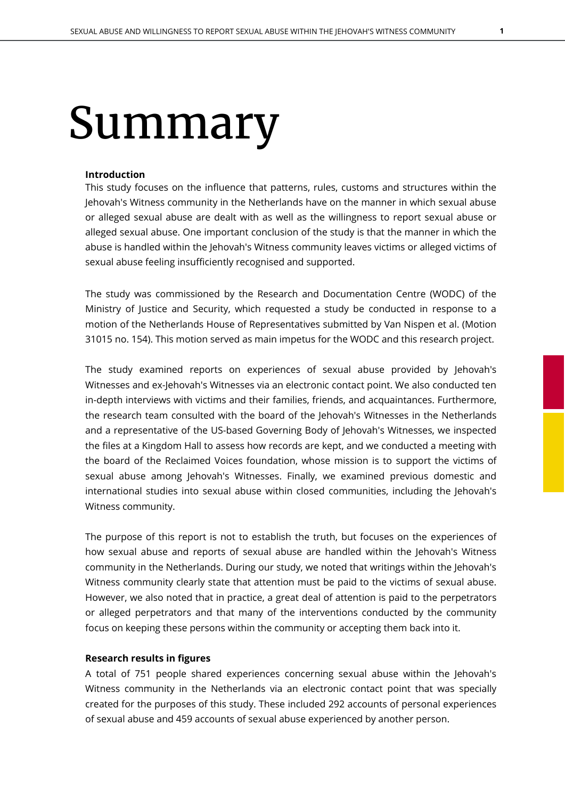# Summary

### **Introduction**

This study focuses on the influence that patterns, rules, customs and structures within the Jehovah's Witness community in the Netherlands have on the manner in which sexual abuse or alleged sexual abuse are dealt with as well as the willingness to report sexual abuse or alleged sexual abuse. One important conclusion of the study is that the manner in which the abuse is handled within the Jehovah's Witness community leaves victims or alleged victims of sexual abuse feeling insufficiently recognised and supported.

The study was commissioned by the Research and Documentation Centre (WODC) of the Ministry of Justice and Security, which requested a study be conducted in response to a motion of the Netherlands House of Representatives submitted by Van Nispen et al. (Motion 31015 no. 154). This motion served as main impetus for the WODC and this research project.

The study examined reports on experiences of sexual abuse provided by Jehovah's Witnesses and ex-Jehovah's Witnesses via an electronic contact point. We also conducted ten in-depth interviews with victims and their families, friends, and acquaintances. Furthermore, the research team consulted with the board of the Jehovah's Witnesses in the Netherlands and a representative of the US-based Governing Body of Jehovah's Witnesses, we inspected the files at a Kingdom Hall to assess how records are kept, and we conducted a meeting with the board of the Reclaimed Voices foundation, whose mission is to support the victims of sexual abuse among Jehovah's Witnesses. Finally, we examined previous domestic and international studies into sexual abuse within closed communities, including the Jehovah's Witness community.

The purpose of this report is not to establish the truth, but focuses on the experiences of how sexual abuse and reports of sexual abuse are handled within the Jehovah's Witness community in the Netherlands. During our study, we noted that writings within the Jehovah's Witness community clearly state that attention must be paid to the victims of sexual abuse. However, we also noted that in practice, a great deal of attention is paid to the perpetrators or alleged perpetrators and that many of the interventions conducted by the community focus on keeping these persons within the community or accepting them back into it.

## **Research results in figures**

A total of 751 people shared experiences concerning sexual abuse within the Jehovah's Witness community in the Netherlands via an electronic contact point that was specially created for the purposes of this study. These included 292 accounts of personal experiences of sexual abuse and 459 accounts of sexual abuse experienced by another person.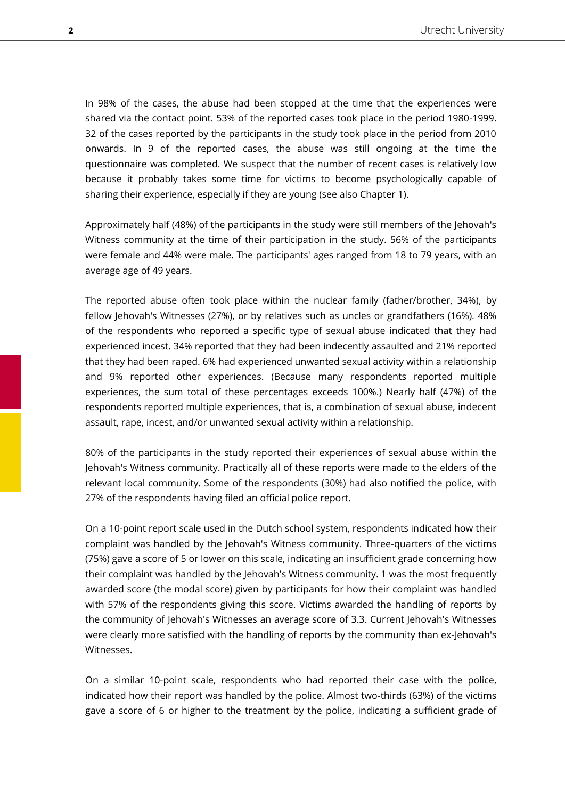In 98% of the cases, the abuse had been stopped at the time that the experiences were shared via the contact point. 53% of the reported cases took place in the period 1980-1999. 32 of the cases reported by the participants in the study took place in the period from 2010 onwards. In 9 of the reported cases, the abuse was still ongoing at the time the questionnaire was completed. We suspect that the number of recent cases is relatively low because it probably takes some time for victims to become psychologically capable of sharing their experience, especially if they are young (see also Chapter 1).

Approximately half (48%) of the participants in the study were still members of the Jehovah's Witness community at the time of their participation in the study. 56% of the participants were female and 44% were male. The participants' ages ranged from 18 to 79 years, with an average age of 49 years.

The reported abuse often took place within the nuclear family (father/brother, 34%), by fellow Jehovah's Witnesses (27%), or by relatives such as uncles or grandfathers (16%). 48% of the respondents who reported a specific type of sexual abuse indicated that they had experienced incest. 34% reported that they had been indecently assaulted and 21% reported that they had been raped. 6% had experienced unwanted sexual activity within a relationship and 9% reported other experiences. (Because many respondents reported multiple experiences, the sum total of these percentages exceeds 100%.) Nearly half (47%) of the respondents reported multiple experiences, that is, a combination of sexual abuse, indecent assault, rape, incest, and/or unwanted sexual activity within a relationship.

80% of the participants in the study reported their experiences of sexual abuse within the Jehovah's Witness community. Practically all of these reports were made to the elders of the relevant local community. Some of the respondents (30%) had also notified the police, with 27% of the respondents having filed an official police report.

On a 10-point report scale used in the Dutch school system, respondents indicated how their complaint was handled by the Jehovah's Witness community. Three-quarters of the victims (75%) gave a score of 5 or lower on this scale, indicating an insufficient grade concerning how their complaint was handled by the Jehovah's Witness community. 1 was the most frequently awarded score (the modal score) given by participants for how their complaint was handled with 57% of the respondents giving this score. Victims awarded the handling of reports by the community of Jehovah's Witnesses an average score of 3.3. Current Jehovah's Witnesses were clearly more satisfied with the handling of reports by the community than ex-Jehovah's Witnesses.

On a similar 10-point scale, respondents who had reported their case with the police, indicated how their report was handled by the police. Almost two-thirds (63%) of the victims gave a score of 6 or higher to the treatment by the police, indicating a sufficient grade of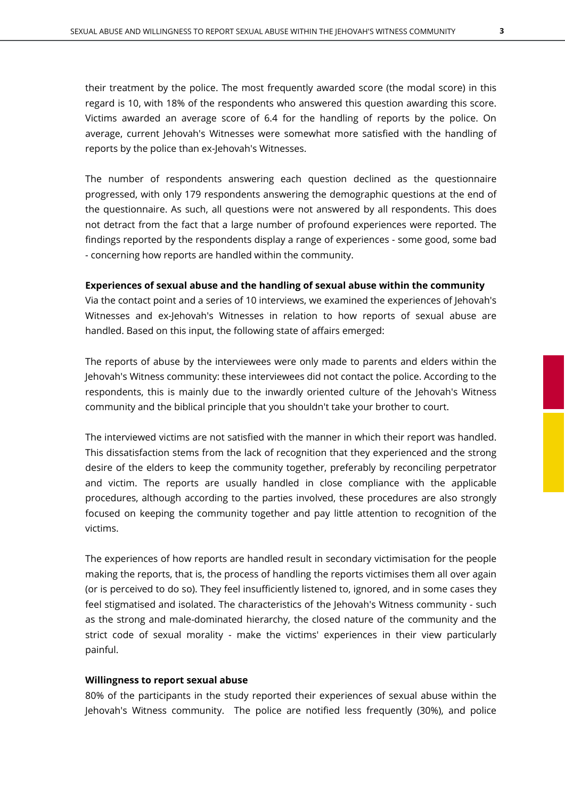their treatment by the police. The most frequently awarded score (the modal score) in this regard is 10, with 18% of the respondents who answered this question awarding this score. Victims awarded an average score of 6.4 for the handling of reports by the police. On average, current Jehovah's Witnesses were somewhat more satisfied with the handling of reports by the police than ex-Jehovah's Witnesses.

The number of respondents answering each question declined as the questionnaire progressed, with only 179 respondents answering the demographic questions at the end of the questionnaire. As such, all questions were not answered by all respondents. This does not detract from the fact that a large number of profound experiences were reported. The findings reported by the respondents display a range of experiences - some good, some bad - concerning how reports are handled within the community.

### **Experiences of sexual abuse and the handling of sexual abuse within the community**

Via the contact point and a series of 10 interviews, we examined the experiences of Jehovah's Witnesses and ex-Jehovah's Witnesses in relation to how reports of sexual abuse are handled. Based on this input, the following state of affairs emerged:

The reports of abuse by the interviewees were only made to parents and elders within the Jehovah's Witness community: these interviewees did not contact the police. According to the respondents, this is mainly due to the inwardly oriented culture of the Jehovah's Witness community and the biblical principle that you shouldn't take your brother to court.

The interviewed victims are not satisfied with the manner in which their report was handled. This dissatisfaction stems from the lack of recognition that they experienced and the strong desire of the elders to keep the community together, preferably by reconciling perpetrator and victim. The reports are usually handled in close compliance with the applicable procedures, although according to the parties involved, these procedures are also strongly focused on keeping the community together and pay little attention to recognition of the victims.

The experiences of how reports are handled result in secondary victimisation for the people making the reports, that is, the process of handling the reports victimises them all over again (or is perceived to do so). They feel insufficiently listened to, ignored, and in some cases they feel stigmatised and isolated. The characteristics of the Jehovah's Witness community - such as the strong and male-dominated hierarchy, the closed nature of the community and the strict code of sexual morality - make the victims' experiences in their view particularly painful.

## **Willingness to report sexual abuse**

80% of the participants in the study reported their experiences of sexual abuse within the Jehovah's Witness community. The police are notified less frequently (30%), and police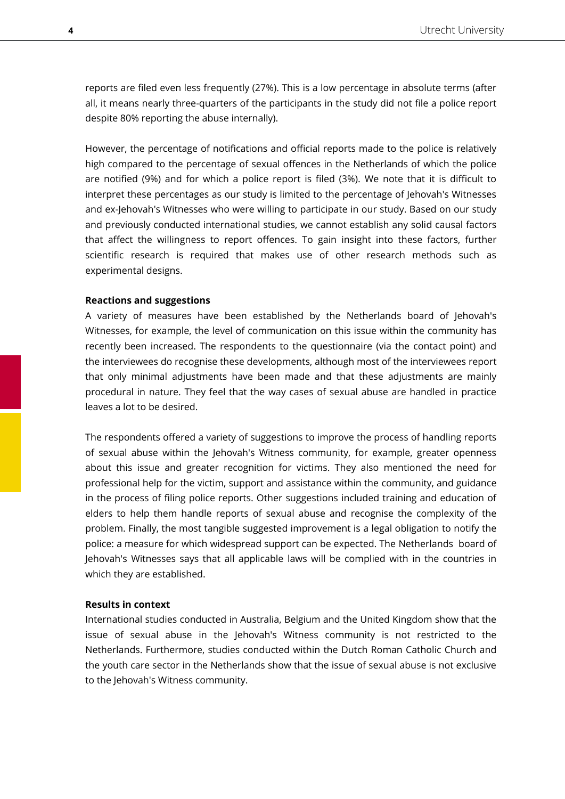reports are filed even less frequently (27%). This is a low percentage in absolute terms (after all, it means nearly three-quarters of the participants in the study did not file a police report despite 80% reporting the abuse internally).

However, the percentage of notifications and official reports made to the police is relatively high compared to the percentage of sexual offences in the Netherlands of which the police are notified (9%) and for which a police report is filed (3%). We note that it is difficult to interpret these percentages as our study is limited to the percentage of Jehovah's Witnesses and ex-Jehovah's Witnesses who were willing to participate in our study. Based on our study and previously conducted international studies, we cannot establish any solid causal factors that affect the willingness to report offences. To gain insight into these factors, further scientific research is required that makes use of other research methods such as experimental designs.

#### **Reactions and suggestions**

A variety of measures have been established by the Netherlands board of Jehovah's Witnesses, for example, the level of communication on this issue within the community has recently been increased. The respondents to the questionnaire (via the contact point) and the interviewees do recognise these developments, although most of the interviewees report that only minimal adjustments have been made and that these adjustments are mainly procedural in nature. They feel that the way cases of sexual abuse are handled in practice leaves a lot to be desired.

The respondents offered a variety of suggestions to improve the process of handling reports of sexual abuse within the Jehovah's Witness community, for example, greater openness about this issue and greater recognition for victims. They also mentioned the need for professional help for the victim, support and assistance within the community, and guidance in the process of filing police reports. Other suggestions included training and education of elders to help them handle reports of sexual abuse and recognise the complexity of the problem. Finally, the most tangible suggested improvement is a legal obligation to notify the police: a measure for which widespread support can be expected. The Netherlands board of Jehovah's Witnesses says that all applicable laws will be complied with in the countries in which they are established.

#### **Results in context**

International studies conducted in Australia, Belgium and the United Kingdom show that the issue of sexual abuse in the Jehovah's Witness community is not restricted to the Netherlands. Furthermore, studies conducted within the Dutch Roman Catholic Church and the youth care sector in the Netherlands show that the issue of sexual abuse is not exclusive to the Jehovah's Witness community.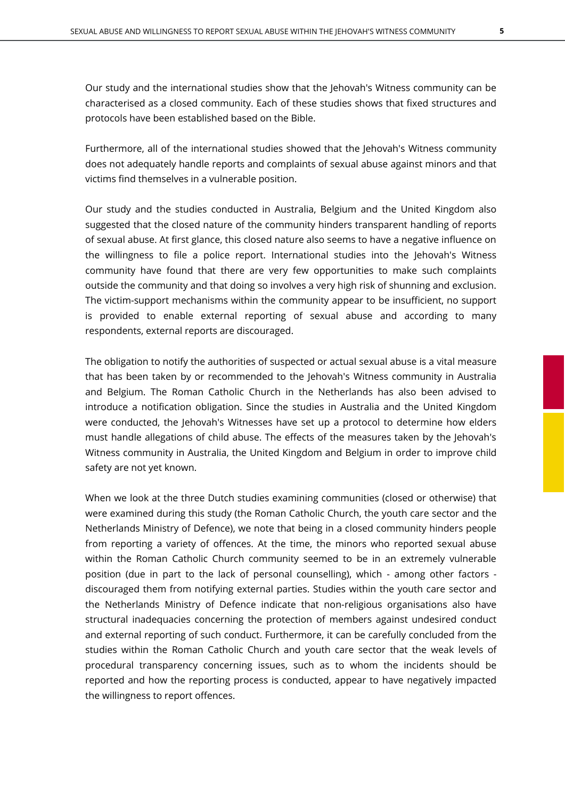Our study and the international studies show that the Jehovah's Witness community can be characterised as a closed community. Each of these studies shows that fixed structures and protocols have been established based on the Bible.

Furthermore, all of the international studies showed that the Jehovah's Witness community does not adequately handle reports and complaints of sexual abuse against minors and that victims find themselves in a vulnerable position.

Our study and the studies conducted in Australia, Belgium and the United Kingdom also suggested that the closed nature of the community hinders transparent handling of reports of sexual abuse. At first glance, this closed nature also seems to have a negative influence on the willingness to file a police report. International studies into the Jehovah's Witness community have found that there are very few opportunities to make such complaints outside the community and that doing so involves a very high risk of shunning and exclusion. The victim-support mechanisms within the community appear to be insufficient, no support is provided to enable external reporting of sexual abuse and according to many respondents, external reports are discouraged.

The obligation to notify the authorities of suspected or actual sexual abuse is a vital measure that has been taken by or recommended to the Jehovah's Witness community in Australia and Belgium. The Roman Catholic Church in the Netherlands has also been advised to introduce a notification obligation. Since the studies in Australia and the United Kingdom were conducted, the Jehovah's Witnesses have set up a protocol to determine how elders must handle allegations of child abuse. The effects of the measures taken by the Jehovah's Witness community in Australia, the United Kingdom and Belgium in order to improve child safety are not yet known.

When we look at the three Dutch studies examining communities (closed or otherwise) that were examined during this study (the Roman Catholic Church, the youth care sector and the Netherlands Ministry of Defence), we note that being in a closed community hinders people from reporting a variety of offences. At the time, the minors who reported sexual abuse within the Roman Catholic Church community seemed to be in an extremely vulnerable position (due in part to the lack of personal counselling), which - among other factors discouraged them from notifying external parties. Studies within the youth care sector and the Netherlands Ministry of Defence indicate that non-religious organisations also have structural inadequacies concerning the protection of members against undesired conduct and external reporting of such conduct. Furthermore, it can be carefully concluded from the studies within the Roman Catholic Church and youth care sector that the weak levels of procedural transparency concerning issues, such as to whom the incidents should be reported and how the reporting process is conducted, appear to have negatively impacted the willingness to report offences.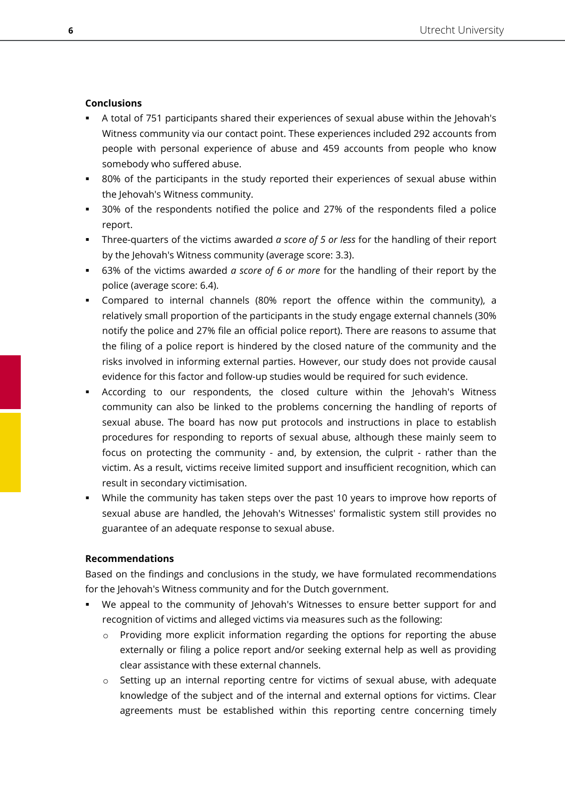## **Conclusions**

- A total of 751 participants shared their experiences of sexual abuse within the Jehovah's Witness community via our contact point. These experiences included 292 accounts from people with personal experience of abuse and 459 accounts from people who know somebody who suffered abuse.
- 80% of the participants in the study reported their experiences of sexual abuse within the Jehovah's Witness community.
- 30% of the respondents notified the police and 27% of the respondents filed a police report.
- Three-quarters of the victims awarded *a score of 5 or less* for the handling of their report by the Jehovah's Witness community (average score: 3.3).
- 63% of the victims awarded *a score of 6 or more* for the handling of their report by the police (average score: 6.4).
- Compared to internal channels (80% report the offence within the community), a relatively small proportion of the participants in the study engage external channels (30% notify the police and 27% file an official police report). There are reasons to assume that the filing of a police report is hindered by the closed nature of the community and the risks involved in informing external parties. However, our study does not provide causal evidence for this factor and follow-up studies would be required for such evidence.
- According to our respondents, the closed culture within the Jehovah's Witness community can also be linked to the problems concerning the handling of reports of sexual abuse. The board has now put protocols and instructions in place to establish procedures for responding to reports of sexual abuse, although these mainly seem to focus on protecting the community - and, by extension, the culprit - rather than the victim. As a result, victims receive limited support and insufficient recognition, which can result in secondary victimisation.
- **•** While the community has taken steps over the past 10 years to improve how reports of sexual abuse are handled, the Jehovah's Witnesses' formalistic system still provides no guarantee of an adequate response to sexual abuse.

## **Recommendations**

Based on the findings and conclusions in the study, we have formulated recommendations for the Jehovah's Witness community and for the Dutch government.

- We appeal to the community of Jehovah's Witnesses to ensure better support for and recognition of victims and alleged victims via measures such as the following:
	- $\circ$  Providing more explicit information regarding the options for reporting the abuse externally or filing a police report and/or seeking external help as well as providing clear assistance with these external channels.
	- $\circ$  Setting up an internal reporting centre for victims of sexual abuse, with adequate knowledge of the subject and of the internal and external options for victims. Clear agreements must be established within this reporting centre concerning timely